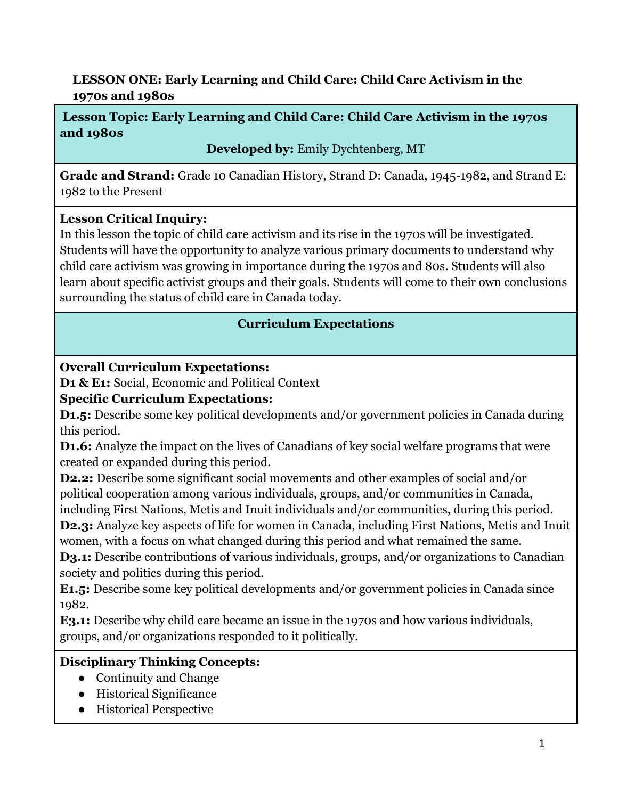# **LESSON ONE: Early Learning and Child Care: Child Care Activism in the 1970s and 1980s**

# **Lesson Topic: Early Learning and Child Care: Child Care Activism in the 1970s and 1980s**

**Developed by:** Emily Dychtenberg, MT

**Grade and Strand:** Grade 10 Canadian History, Strand D: Canada, 1945-1982, and Strand E: 1982 to the Present

# **Lesson Critical Inquiry:**

In this lesson the topic of child care activism and its rise in the 1970s will be investigated. Students will have the opportunity to analyze various primary documents to understand why child care activism was growing in importance during the 1970s and 80s. Students will also learn about specific activist groups and their goals. Students will come to their own conclusions surrounding the status of child care in Canada today.

# **Curriculum Expectations**

# **Overall Curriculum Expectations:**

**D1 & E1:** Social, Economic and Political Context

# **Specific Curriculum Expectations:**

**D1.5:** Describe some key political developments and/or government policies in Canada during this period.

**D1.6:** Analyze the impact on the lives of Canadians of key social welfare programs that were created or expanded during this period.

**D2.2:** Describe some significant social movements and other examples of social and/or political cooperation among various individuals, groups, and/or communities in Canada,

including First Nations, Metis and Inuit individuals and/or communities, during this period. **D2.3:** Analyze key aspects of life for women in Canada, including First Nations, Metis and Inuit women, with a focus on what changed during this period and what remained the same.

**D3.1:** Describe contributions of various individuals, groups, and/or organizations to Canadian society and politics during this period.

**E1.5:** Describe some key political developments and/or government policies in Canada since 1982.

**E3.1:** Describe why child care became an issue in the 1970s and how various individuals, groups, and/or organizations responded to it politically.

# **Disciplinary Thinking Concepts:**

- Continuity and Change
- Historical Significance
- Historical Perspective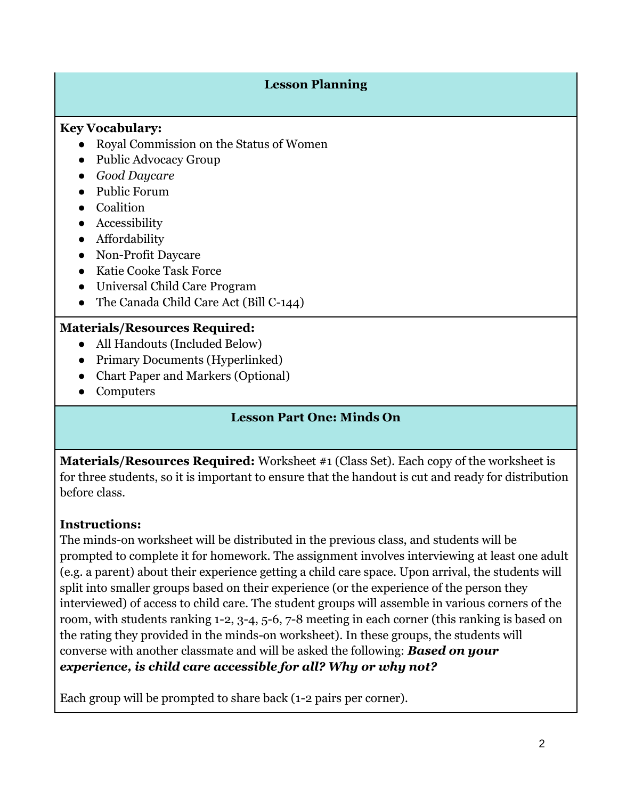#### **Lesson Planning**

#### **Key Vocabulary:**

- Royal Commission on the Status of Women
- Public Advocacy Group
- *Good Daycare*
- Public Forum
- Coalition
- Accessibility
- Affordability
- Non-Profit Daycare
- Katie Cooke Task Force
- Universal Child Care Program
- The Canada Child Care Act (Bill C-144)

## **Materials/Resources Required:**

- All Handouts (Included Below)
- Primary Documents (Hyperlinked)
- Chart Paper and Markers (Optional)
- Computers

#### **Lesson Part One: Minds On**

**Materials/Resources Required:** Worksheet #1 (Class Set). Each copy of the worksheet is for three students, so it is important to ensure that the handout is cut and ready for distribution before class.

## **Instructions:**

The minds-on worksheet will be distributed in the previous class, and students will be prompted to complete it for homework. The assignment involves interviewing at least one adult (e.g. a parent) about their experience getting a child care space. Upon arrival, the students will split into smaller groups based on their experience (or the experience of the person they interviewed) of access to child care. The student groups will assemble in various corners of the room, with students ranking 1-2, 3-4, 5-6, 7-8 meeting in each corner (this ranking is based on the rating they provided in the minds-on worksheet). In these groups, the students will converse with another classmate and will be asked the following: *Based on your experience, is child care accessible for all? Why or why not?* 

Each group will be prompted to share back (1-2 pairs per corner).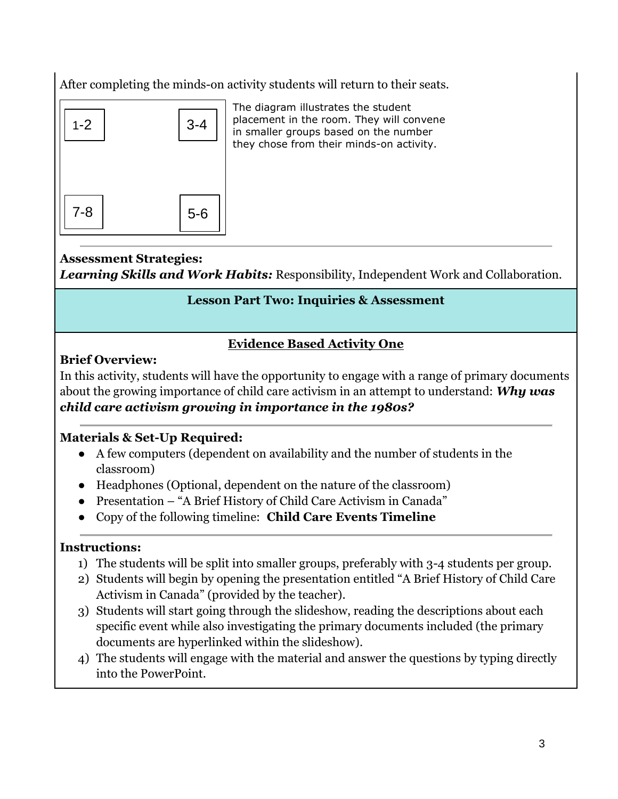After completing the minds-on activity students will return to their seats.



The diagram illustrates the student placement in the room. They will convene in smaller groups based on the number they chose from their minds-on activity.

#### **Assessment Strategies:**

*Learning Skills and Work Habits:* Responsibility, Independent Work and Collaboration.

#### **Lesson Part Two: Inquiries & Assessment**

#### **Evidence Based Activity One**

## **Brief Overview:**

In this activity, students will have the opportunity to engage with a range of primary documents about the growing importance of child care activism in an attempt to understand: *Why was child care activism growing in importance in the 1980s?*

## **Materials & Set-Up Required:**

- A few computers (dependent on availability and the number of students in the classroom)
- Headphones (Optional, dependent on the nature of the classroom)
- Presentation "A Brief History of Child Care Activism in Canada"
- Copy of the following timeline: **[Child Care Events Timeline](https://docs.google.com/presentation/d/1spWU41l54AymUBn6AkMLyaA6eCjj7G76kIETOE2ujLE/copy)**

## **Instructions:**

- 1) The students will be split into smaller groups, preferably with 3-4 students per group.
- 2) Students will begin by opening the presentation entitled "A Brief History of Child Care Activism in Canada" (provided by the teacher).
- 3) Students will start going through the slideshow, reading the descriptions about each specific event while also investigating the primary documents included (the primary documents are hyperlinked within the slideshow).
- 4) The students will engage with the material and answer the questions by typing directly into the PowerPoint.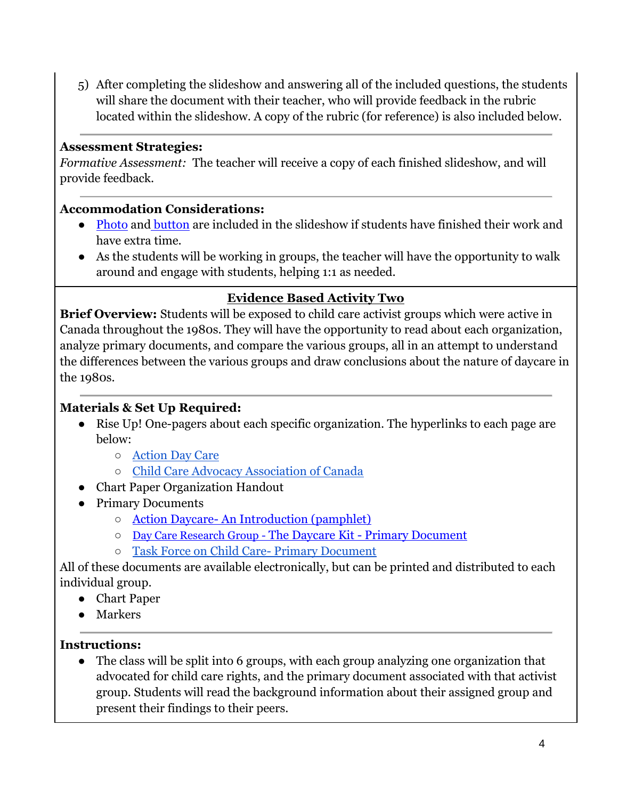5) After completing the slideshow and answering all of the included questions, the students will share the document with their teacher, who will provide feedback in the rubric located within the slideshow. A copy of the rubric (for reference) is also included below.

#### **Assessment Strategies:**

*Formative Assessment:* The teacher will receive a copy of each finished slideshow, and will provide feedback.

#### **Accommodation Considerations:**

- [Photo](https://riseupfeministarchive.ca/culture/photos/iwd-demo-1983_83032/) and [button](https://riseupfeministarchive.ca/culture/buttons/buttons-kidsnotforprofit-daycare/) are included in the slideshow if students have finished their work and have extra time.
- As the students will be working in groups, the teacher will have the opportunity to walk around and engage with students, helping 1:1 as needed.

## **Evidence Based Activity Two**

**Brief Overview:** Students will be exposed to child care activist groups which were active in Canada throughout the 1980s. They will have the opportunity to read about each organization, analyze primary documents, and compare the various groups, all in an attempt to understand the differences between the various groups and draw conclusions about the nature of daycare in the 1980s.

## **Materials & Set Up Required:**

- Rise Up! One-pagers about each specific organization. The hyperlinks to each page are below:
	- [Action Day Care](https://riseupfeministarchive.ca/activism/organizations/action-day-care/)
	- [Child Care Advocacy Association of Canada](https://riseupfeministarchive.ca/activism/organizations/child-care-advocacy-association-of-canada-ccaac/)
- Chart Paper Organization Handout
- Primary Documents
	- Action Daycare- [An Introduction \(pamphlet\)](https://riseupfeministarchive.ca/activism/organizations/action-day-care/actiondaycare-leaflet-introduction-ocr/)
	- [Day Care Research Group -](https://riseupfeministarchive.ca/activism/organizations/action-day-care/thedaycarekit/) The Daycare Kit [Primary Document](https://riseupfeministarchive.ca/activism/organizations/action-day-care/thedaycarekit/)
	- [Task Force on Child Care-](https://news.google.com/newspapers?id=uXZkAAAAIBAJ&sjid=3X4NAAAAIBAJ&dq=liberal%20child%20care%20task%20force&pg=1128%2C4625488) Primary Document

All of these documents are available electronically, but can be printed and distributed to each individual group.

- Chart Paper
- Markers

## **Instructions:**

● The class will be split into 6 groups, with each group analyzing one organization that advocated for child care rights, and the primary document associated with that activist group. Students will read the background information about their assigned group and present their findings to their peers.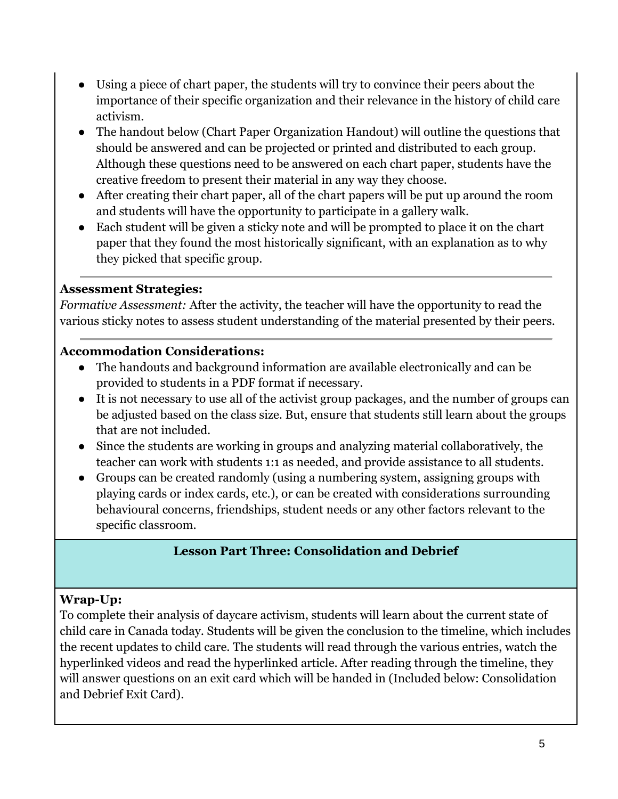- Using a piece of chart paper, the students will try to convince their peers about the importance of their specific organization and their relevance in the history of child care activism.
- The handout below (Chart Paper Organization Handout) will outline the questions that should be answered and can be projected or printed and distributed to each group. Although these questions need to be answered on each chart paper, students have the creative freedom to present their material in any way they choose.
- After creating their chart paper, all of the chart papers will be put up around the room and students will have the opportunity to participate in a gallery walk.
- Each student will be given a sticky note and will be prompted to place it on the chart paper that they found the most historically significant, with an explanation as to why they picked that specific group.

#### **Assessment Strategies:**

*Formative Assessment:* After the activity, the teacher will have the opportunity to read the various sticky notes to assess student understanding of the material presented by their peers.

## **Accommodation Considerations:**

- The handouts and background information are available electronically and can be provided to students in a PDF format if necessary.
- It is not necessary to use all of the activist group packages, and the number of groups can be adjusted based on the class size. But, ensure that students still learn about the groups that are not included.
- Since the students are working in groups and analyzing material collaboratively, the teacher can work with students 1:1 as needed, and provide assistance to all students.
- Groups can be created randomly (using a numbering system, assigning groups with playing cards or index cards, etc.), or can be created with considerations surrounding behavioural concerns, friendships, student needs or any other factors relevant to the specific classroom.

## **Lesson Part Three: Consolidation and Debrief**

## **Wrap-Up:**

To complete their analysis of daycare activism, students will learn about the current state of child care in Canada today. Students will be given the conclusion to the timeline, which includes the recent updates to child care. The students will read through the various entries, watch the hyperlinked videos and read the hyperlinked article. After reading through the timeline, they will answer questions on an exit card which will be handed in (Included below: Consolidation and Debrief Exit Card).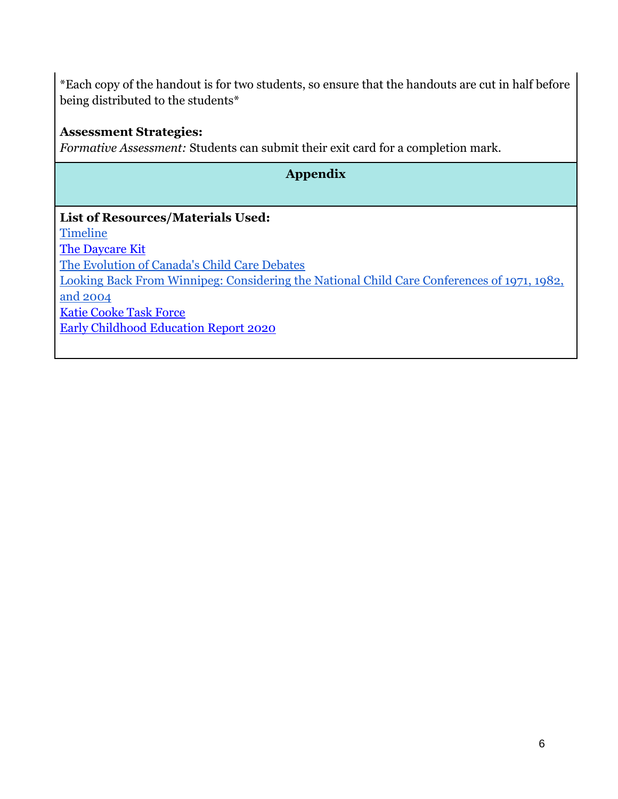\*Each copy of the handout is for two students, so ensure that the handouts are cut in half before being distributed to the students\*

#### **Assessment Strategies:**

*Formative Assessment:* Students can submit their exit card for a completion mark.

# **Appendix**

# **List of Resources/Materials Used: [Timeline](https://cdn.knightlab.com/libs/timeline3/latest/embed/index.html?source=1bP5zX5cvJaZFH1Ayv6ND60DAmeoFhgDp3RpqFOReXm8&font=Default&lang=en&initial_zoom=2&height=650)** [The Daycare Kit](https://riseupfeministarchive.ca/activism/organizations/action-day-care/thedaycarekit/) [The Evolution of Canada's Child Care Debates](https://www.broadbentinstitute.ca/the_evolution_of_canada_s_child_care_debates) [Looking Back From Winnipeg: Considering the National Child Care Conferences of 1971, 1982,](https://movingchildcareforward.ca/images/resconfpres/Pasolli_L.pdf)  [and 2004](https://movingchildcareforward.ca/images/resconfpres/Pasolli_L.pdf) [Katie Cooke Task Force](https://2ogewo36a26v4fawr73g9ah2-wpengine.netdna-ssl.com/wp-content/uploads/taskforceonchildcare-1986-releaseofcooketaskforceonchildcare-ottawa.ocr_.pdf) [Early Childhood Education Report 2020](https://ecereport.ca/en/)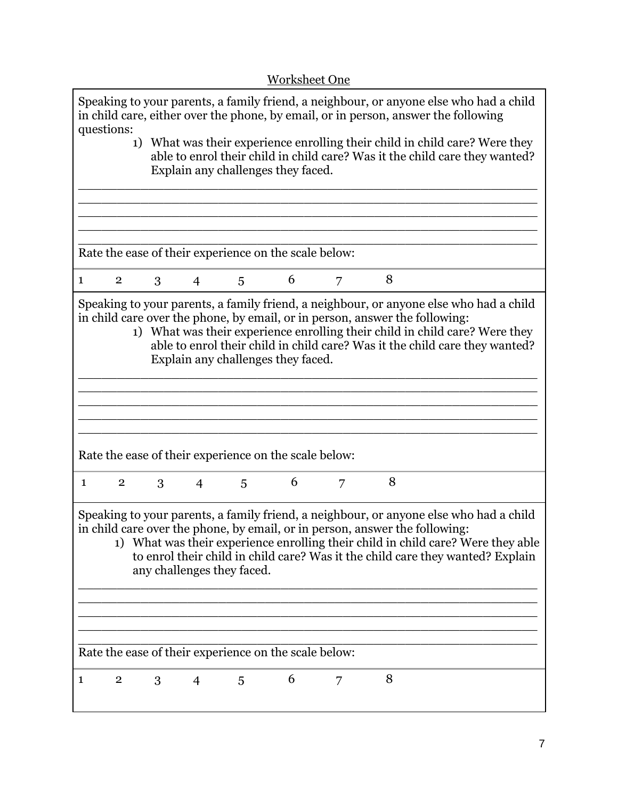| <b>Worksheet One</b>                                                                                                                                                                                                                                                                                                                                                      |  |  |  |
|---------------------------------------------------------------------------------------------------------------------------------------------------------------------------------------------------------------------------------------------------------------------------------------------------------------------------------------------------------------------------|--|--|--|
| Speaking to your parents, a family friend, a neighbour, or anyone else who had a child<br>in child care, either over the phone, by email, or in person, answer the following<br>questions:                                                                                                                                                                                |  |  |  |
| 1) What was their experience enrolling their child in child care? Were they<br>able to enrol their child in child care? Was it the child care they wanted?<br>Explain any challenges they faced.                                                                                                                                                                          |  |  |  |
|                                                                                                                                                                                                                                                                                                                                                                           |  |  |  |
|                                                                                                                                                                                                                                                                                                                                                                           |  |  |  |
| Rate the ease of their experience on the scale below:                                                                                                                                                                                                                                                                                                                     |  |  |  |
| 6<br>8<br>$\overline{2}$<br>3 <sup>1</sup><br>$\overline{4}$<br>7<br>5<br>1                                                                                                                                                                                                                                                                                               |  |  |  |
| Speaking to your parents, a family friend, a neighbour, or anyone else who had a child<br>in child care over the phone, by email, or in person, answer the following:<br>1) What was their experience enrolling their child in child care? Were they<br>able to enrol their child in child care? Was it the child care they wanted?<br>Explain any challenges they faced. |  |  |  |
|                                                                                                                                                                                                                                                                                                                                                                           |  |  |  |
|                                                                                                                                                                                                                                                                                                                                                                           |  |  |  |
| Rate the ease of their experience on the scale below:                                                                                                                                                                                                                                                                                                                     |  |  |  |
| 8<br>6<br>3<br>$\mathbf{1}$<br>$\overline{2}$<br>$\overline{4}$<br>5<br>7                                                                                                                                                                                                                                                                                                 |  |  |  |
| Speaking to your parents, a family friend, a neighbour, or anyone else who had a child<br>in child care over the phone, by email, or in person, answer the following:<br>1) What was their experience enrolling their child in child care? Were they able<br>to enrol their child in child care? Was it the child care they wanted? Explain<br>any challenges they faced. |  |  |  |
|                                                                                                                                                                                                                                                                                                                                                                           |  |  |  |
|                                                                                                                                                                                                                                                                                                                                                                           |  |  |  |
| Rate the ease of their experience on the scale below:                                                                                                                                                                                                                                                                                                                     |  |  |  |
| 8<br>6<br>$\overline{2}$<br>3<br>7<br>$\overline{4}$<br>5<br>1                                                                                                                                                                                                                                                                                                            |  |  |  |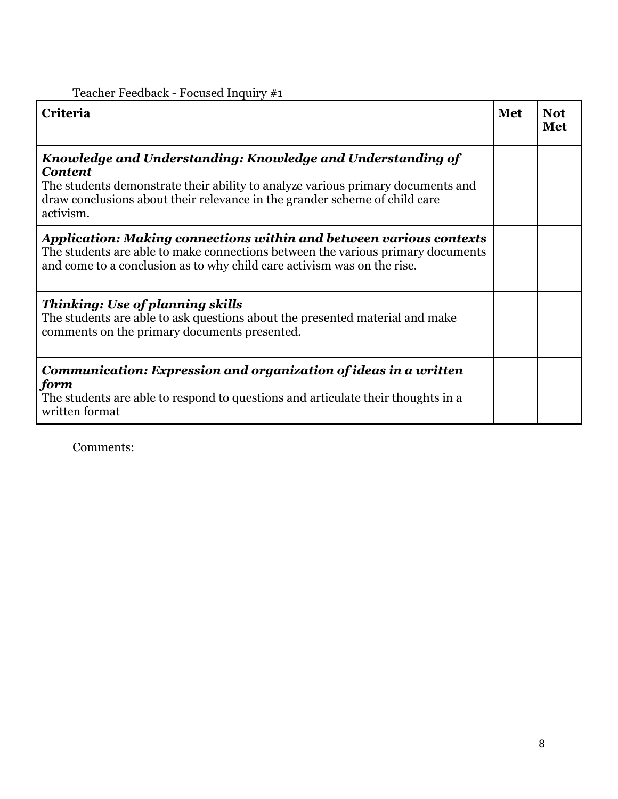| Criteria                                                                                                                                                                                                                                                    | <b>Met</b> | <b>Not</b><br>Met |
|-------------------------------------------------------------------------------------------------------------------------------------------------------------------------------------------------------------------------------------------------------------|------------|-------------------|
| Knowledge and Understanding: Knowledge and Understanding of<br><b>Content</b><br>The students demonstrate their ability to analyze various primary documents and<br>draw conclusions about their relevance in the grander scheme of child care<br>activism. |            |                   |
| <b>Application: Making connections within and between various contexts</b><br>The students are able to make connections between the various primary documents<br>and come to a conclusion as to why child care activism was on the rise.                    |            |                   |
| <b>Thinking: Use of planning skills</b><br>The students are able to ask questions about the presented material and make<br>comments on the primary documents presented.                                                                                     |            |                   |
| Communication: Expression and organization of ideas in a written<br>form<br>The students are able to respond to questions and articulate their thoughts in a<br>written format                                                                              |            |                   |

Comments: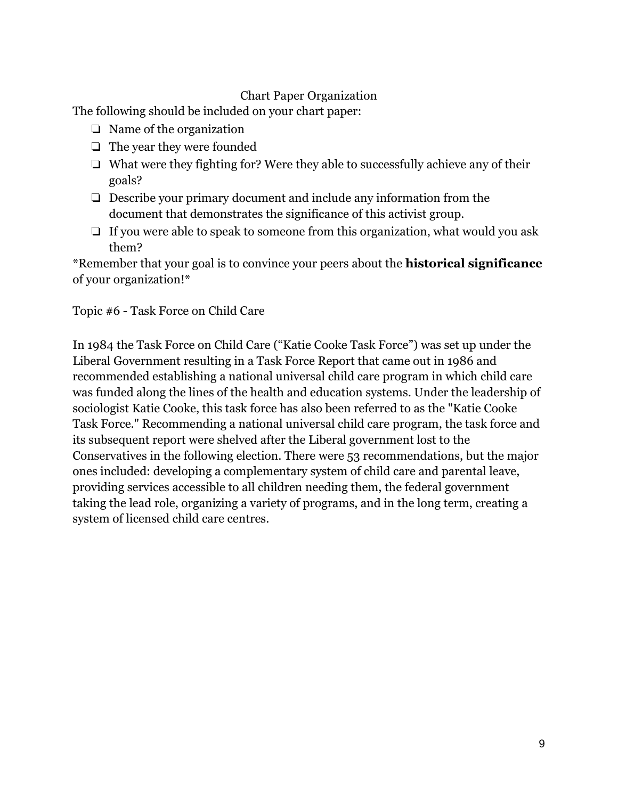#### Chart Paper Organization

The following should be included on your chart paper:

- ❏ Name of the organization
- ❏ The year they were founded
- ❏ What were they fighting for? Were they able to successfully achieve any of their goals?
- ❏ Describe your primary document and include any information from the document that demonstrates the significance of this activist group.
- ❏ If you were able to speak to someone from this organization, what would you ask them?

\*Remember that your goal is to convince your peers about the **historical significance** of your organization!\*

Topic #6 - Task Force on Child Care

In 1984 the Task Force on Child Care ("Katie Cooke Task Force") was set up under the Liberal Government resulting in a Task Force Report that came out in 1986 and recommended establishing a national universal child care program in which child care was funded along the lines of the health and education systems. Under the leadership of sociologist Katie Cooke, this task force has also been referred to as the "Katie Cooke Task Force." Recommending a national universal child care program, the task force and its subsequent report were shelved after the Liberal government lost to the Conservatives in the following election. There were 53 recommendations, but the major ones included: developing a complementary system of child care and parental leave, providing services accessible to all children needing them, the federal government taking the lead role, organizing a variety of programs, and in the long term, creating a system of licensed child care centres.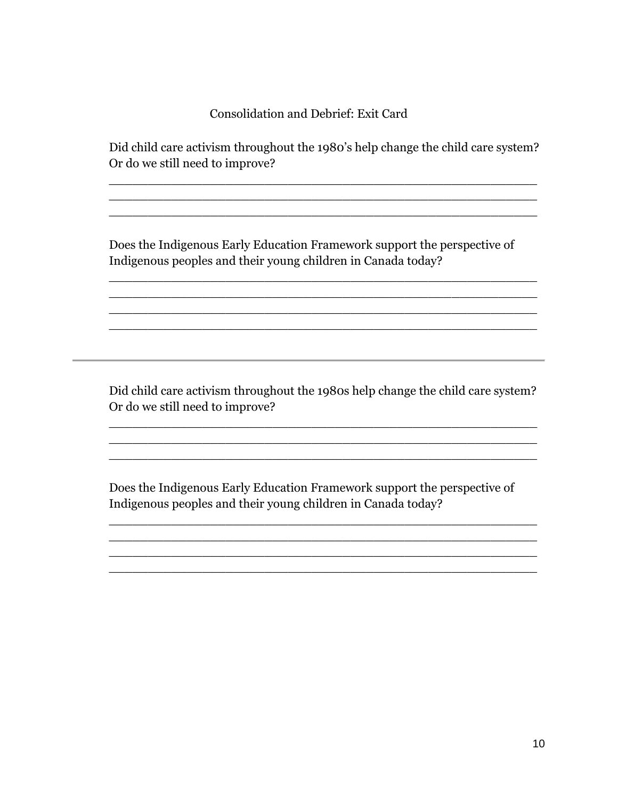Consolidation and Debrief: Exit Card

Did child care activism throughout the 1980's help change the child care system? Or do we still need to improve?

\_\_\_\_\_\_\_\_\_\_\_\_\_\_\_\_\_\_\_\_\_\_\_\_\_\_\_\_\_\_\_\_\_\_\_\_\_\_\_\_\_\_\_\_\_\_\_\_\_\_\_\_\_\_\_ \_\_\_\_\_\_\_\_\_\_\_\_\_\_\_\_\_\_\_\_\_\_\_\_\_\_\_\_\_\_\_\_\_\_\_\_\_\_\_\_\_\_\_\_\_\_\_\_\_\_\_\_\_\_\_ \_\_\_\_\_\_\_\_\_\_\_\_\_\_\_\_\_\_\_\_\_\_\_\_\_\_\_\_\_\_\_\_\_\_\_\_\_\_\_\_\_\_\_\_\_\_\_\_\_\_\_\_\_\_\_

Does the Indigenous Early Education Framework support the perspective of Indigenous peoples and their young children in Canada today?

\_\_\_\_\_\_\_\_\_\_\_\_\_\_\_\_\_\_\_\_\_\_\_\_\_\_\_\_\_\_\_\_\_\_\_\_\_\_\_\_\_\_\_\_\_\_\_\_\_\_\_\_\_\_\_ \_\_\_\_\_\_\_\_\_\_\_\_\_\_\_\_\_\_\_\_\_\_\_\_\_\_\_\_\_\_\_\_\_\_\_\_\_\_\_\_\_\_\_\_\_\_\_\_\_\_\_\_\_\_\_ \_\_\_\_\_\_\_\_\_\_\_\_\_\_\_\_\_\_\_\_\_\_\_\_\_\_\_\_\_\_\_\_\_\_\_\_\_\_\_\_\_\_\_\_\_\_\_\_\_\_\_\_\_\_\_ \_\_\_\_\_\_\_\_\_\_\_\_\_\_\_\_\_\_\_\_\_\_\_\_\_\_\_\_\_\_\_\_\_\_\_\_\_\_\_\_\_\_\_\_\_\_\_\_\_\_\_\_\_\_\_

Did child care activism throughout the 1980s help change the child care system? Or do we still need to improve?

\_\_\_\_\_\_\_\_\_\_\_\_\_\_\_\_\_\_\_\_\_\_\_\_\_\_\_\_\_\_\_\_\_\_\_\_\_\_\_\_\_\_\_\_\_\_\_\_\_\_\_\_\_\_\_ \_\_\_\_\_\_\_\_\_\_\_\_\_\_\_\_\_\_\_\_\_\_\_\_\_\_\_\_\_\_\_\_\_\_\_\_\_\_\_\_\_\_\_\_\_\_\_\_\_\_\_\_\_\_\_ \_\_\_\_\_\_\_\_\_\_\_\_\_\_\_\_\_\_\_\_\_\_\_\_\_\_\_\_\_\_\_\_\_\_\_\_\_\_\_\_\_\_\_\_\_\_\_\_\_\_\_\_\_\_\_

Does the Indigenous Early Education Framework support the perspective of Indigenous peoples and their young children in Canada today?

\_\_\_\_\_\_\_\_\_\_\_\_\_\_\_\_\_\_\_\_\_\_\_\_\_\_\_\_\_\_\_\_\_\_\_\_\_\_\_\_\_\_\_\_\_\_\_\_\_\_\_\_\_\_\_ \_\_\_\_\_\_\_\_\_\_\_\_\_\_\_\_\_\_\_\_\_\_\_\_\_\_\_\_\_\_\_\_\_\_\_\_\_\_\_\_\_\_\_\_\_\_\_\_\_\_\_\_\_\_\_ \_\_\_\_\_\_\_\_\_\_\_\_\_\_\_\_\_\_\_\_\_\_\_\_\_\_\_\_\_\_\_\_\_\_\_\_\_\_\_\_\_\_\_\_\_\_\_\_\_\_\_\_\_\_\_ \_\_\_\_\_\_\_\_\_\_\_\_\_\_\_\_\_\_\_\_\_\_\_\_\_\_\_\_\_\_\_\_\_\_\_\_\_\_\_\_\_\_\_\_\_\_\_\_\_\_\_\_\_\_\_